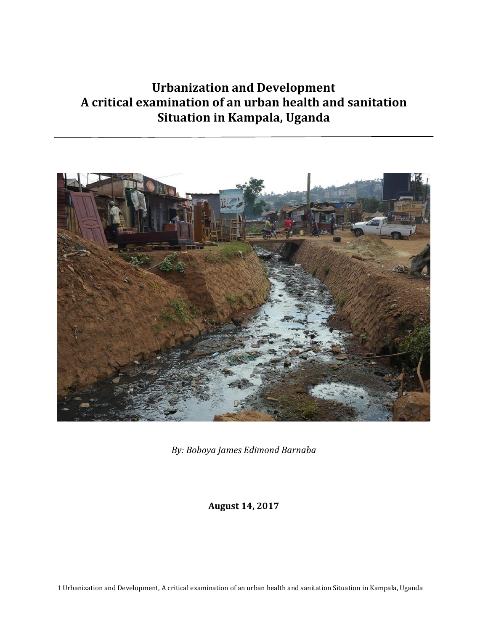# **Urbanization and Development A critical examination of an urban health and sanitation Situation in Kampala, Uganda**



*By: Boboya James Edimond Barnaba*

**August 14, 2017**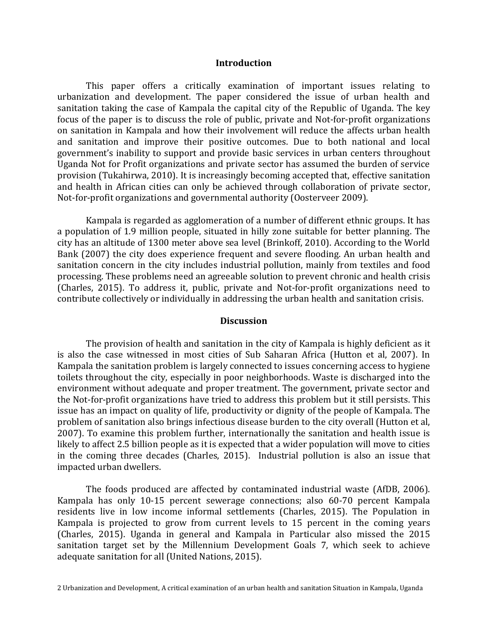#### **Introduction**

This paper offers a critically examination of important issues relating to urbanization and development. The paper considered the issue of urban health and sanitation taking the case of Kampala the capital city of the Republic of Uganda. The key focus of the paper is to discuss the role of public, private and Not-for-profit organizations on sanitation in Kampala and how their involvement will reduce the affects urban health and sanitation and improve their positive outcomes. Due to both national and local government's inability to support and provide basic services in urban centers throughout Uganda Not for Profit organizations and private sector has assumed the burden of service provision (Tukahirwa, 2010). It is increasingly becoming accepted that, effective sanitation and health in African cities can only be achieved through collaboration of private sector, Not-for-profit organizations and governmental authority (Oosterveer 2009).

Kampala is regarded as agglomeration of a number of different ethnic groups. It has a population of 1.9 million people, situated in hilly zone suitable for better planning. The city has an altitude of 1300 meter above sea level (Brinkoff, 2010). According to the World Bank (2007) the city does experience frequent and severe flooding. An urban health and sanitation concern in the city includes industrial pollution, mainly from textiles and food processing. These problems need an agreeable solution to prevent chronic and health crisis (Charles, 2015). To address it, public, private and Not-for-profit organizations need to contribute collectively or individually in addressing the urban health and sanitation crisis.

## **Discussion**

The provision of health and sanitation in the city of Kampala is highly deficient as it is also the case witnessed in most cities of Sub Saharan Africa (Hutton et al, 2007). In Kampala the sanitation problem is largely connected to issues concerning access to hygiene toilets throughout the city, especially in poor neighborhoods. Waste is discharged into the environment without adequate and proper treatment. The government, private sector and the Not-for-profit organizations have tried to address this problem but it still persists. This issue has an impact on quality of life, productivity or dignity of the people of Kampala. The problem of sanitation also brings infectious disease burden to the city overall (Hutton et al, 2007). To examine this problem further, internationally the sanitation and health issue is likely to affect 2.5 billion people as it is expected that a wider population will move to cities in the coming three decades (Charles, 2015). Industrial pollution is also an issue that impacted urban dwellers.

The foods produced are affected by contaminated industrial waste (AfDB, 2006). Kampala has only 10-15 percent sewerage connections; also 60-70 percent Kampala residents live in low income informal settlements (Charles, 2015). The Population in Kampala is projected to grow from current levels to 15 percent in the coming years (Charles, 2015). Uganda in general and Kampala in Particular also missed the 2015 sanitation target set by the Millennium Development Goals 7, which seek to achieve adequate sanitation for all (United Nations, 2015).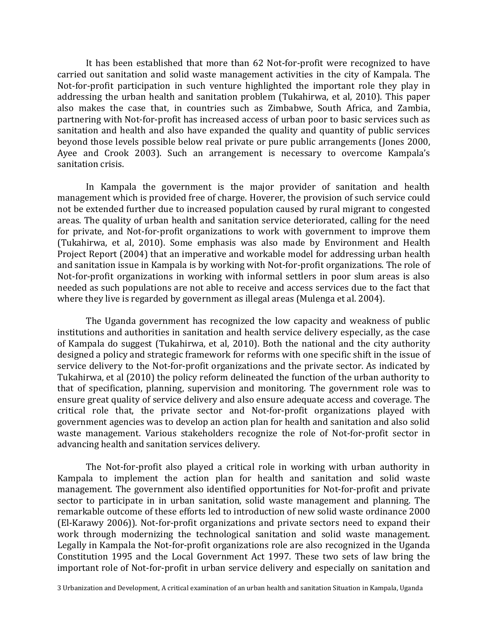It has been established that more than 62 Not-for-profit were recognized to have carried out sanitation and solid waste management activities in the city of Kampala. The Not-for-profit participation in such venture highlighted the important role they play in addressing the urban health and sanitation problem (Tukahirwa, et al, 2010). This paper also makes the case that, in countries such as Zimbabwe, South Africa, and Zambia, partnering with Not-for-profit has increased access of urban poor to basic services such as sanitation and health and also have expanded the quality and quantity of public services beyond those levels possible below real private or pure public arrangements (Jones 2000, Ayee and Crook 2003). Such an arrangement is necessary to overcome Kampala's sanitation crisis.

In Kampala the government is the major provider of sanitation and health management which is provided free of charge. Hoverer, the provision of such service could not be extended further due to increased population caused by rural migrant to congested areas. The quality of urban health and sanitation service deteriorated, calling for the need for private, and Not-for-profit organizations to work with government to improve them (Tukahirwa, et al, 2010). Some emphasis was also made by Environment and Health Project Report (2004) that an imperative and workable model for addressing urban health and sanitation issue in Kampala is by working with Not-for-profit organizations. The role of Not-for-profit organizations in working with informal settlers in poor slum areas is also needed as such populations are not able to receive and access services due to the fact that where they live is regarded by government as illegal areas (Mulenga et al. 2004).

The Uganda government has recognized the low capacity and weakness of public institutions and authorities in sanitation and health service delivery especially, as the case of Kampala do suggest (Tukahirwa, et al, 2010). Both the national and the city authority designed a policy and strategic framework for reforms with one specific shift in the issue of service delivery to the Not-for-profit organizations and the private sector. As indicated by Tukahirwa, et al (2010) the policy reform delineated the function of the urban authority to that of specification, planning, supervision and monitoring. The government role was to ensure great quality of service delivery and also ensure adequate access and coverage. The critical role that, the private sector and Not-for-profit organizations played with government agencies was to develop an action plan for health and sanitation and also solid waste management. Various stakeholders recognize the role of Not-for-profit sector in advancing health and sanitation services delivery.

The Not-for-profit also played a critical role in working with urban authority in Kampala to implement the action plan for health and sanitation and solid waste management. The government also identified opportunities for Not-for-profit and private sector to participate in in urban sanitation, solid waste management and planning. The remarkable outcome of these efforts led to introduction of new solid waste ordinance 2000 (El-Karawy 2006)). Not-for-profit organizations and private sectors need to expand their work through modernizing the technological sanitation and solid waste management. Legally in Kampala the Not-for-profit organizations role are also recognized in the Uganda Constitution 1995 and the Local Government Act 1997. These two sets of law bring the important role of Not-for-profit in urban service delivery and especially on sanitation and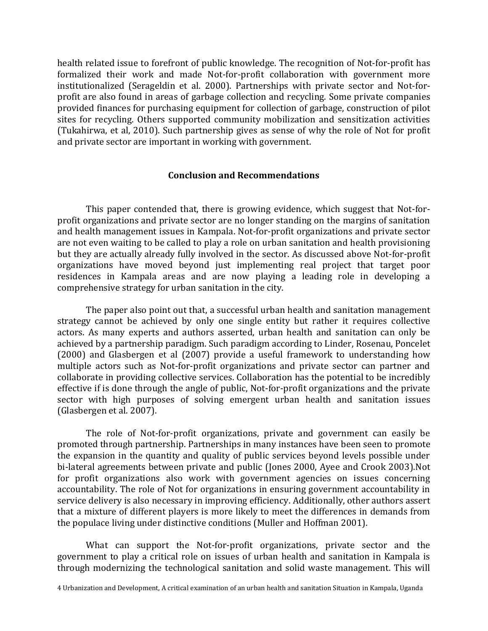health related issue to forefront of public knowledge. The recognition of Not-for-profit has formalized their work and made Not-for-profit collaboration with government more institutionalized (Serageldin et al. 2000). Partnerships with private sector and Not-forprofit are also found in areas of garbage collection and recycling. Some private companies provided finances for purchasing equipment for collection of garbage, construction of pilot sites for recycling. Others supported community mobilization and sensitization activities (Tukahirwa, et al, 2010). Such partnership gives as sense of why the role of Not for profit and private sector are important in working with government.

## **Conclusion and Recommendations**

This paper contended that, there is growing evidence, which suggest that Not-forprofit organizations and private sector are no longer standing on the margins of sanitation and health management issues in Kampala. Not-for-profit organizations and private sector are not even waiting to be called to play a role on urban sanitation and health provisioning but they are actually already fully involved in the sector. As discussed above Not-for-profit organizations have moved beyond just implementing real project that target poor residences in Kampala areas and are now playing a leading role in developing a comprehensive strategy for urban sanitation in the city.

The paper also point out that, a successful urban health and sanitation management strategy cannot be achieved by only one single entity but rather it requires collective actors. As many experts and authors asserted, urban health and sanitation can only be achieved by a partnership paradigm. Such paradigm according to Linder, Rosenau, Poncelet (2000) and Glasbergen et al (2007) provide a useful framework to understanding how multiple actors such as Not-for-profit organizations and private sector can partner and collaborate in providing collective services. Collaboration has the potential to be incredibly effective if is done through the angle of public, Not-for-profit organizations and the private sector with high purposes of solving emergent urban health and sanitation issues (Glasbergen et al. 2007).

The role of Not-for-profit organizations, private and government can easily be promoted through partnership. Partnerships in many instances have been seen to promote the expansion in the quantity and quality of public services beyond levels possible under bi-lateral agreements between private and public (Jones 2000, Ayee and Crook 2003).Not for profit organizations also work with government agencies on issues concerning accountability. The role of Not for organizations in ensuring government accountability in service delivery is also necessary in improving efficiency. Additionally, other authors assert that a mixture of different players is more likely to meet the differences in demands from the populace living under distinctive conditions (Muller and Hoffman 2001).

What can support the Not-for-profit organizations, private sector and the government to play a critical role on issues of urban health and sanitation in Kampala is through modernizing the technological sanitation and solid waste management. This will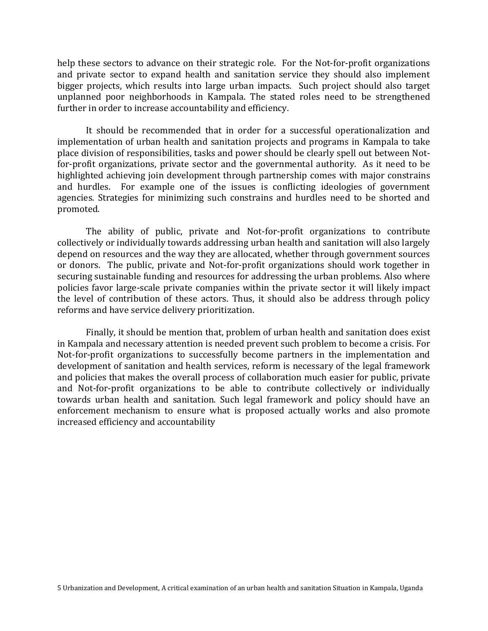help these sectors to advance on their strategic role. For the Not-for-profit organizations and private sector to expand health and sanitation service they should also implement bigger projects, which results into large urban impacts. Such project should also target unplanned poor neighborhoods in Kampala. The stated roles need to be strengthened further in order to increase accountability and efficiency.

It should be recommended that in order for a successful operationalization and implementation of urban health and sanitation projects and programs in Kampala to take place division of responsibilities, tasks and power should be clearly spell out between Notfor-profit organizations, private sector and the governmental authority. As it need to be highlighted achieving join development through partnership comes with major constrains and hurdles. For example one of the issues is conflicting ideologies of government agencies. Strategies for minimizing such constrains and hurdles need to be shorted and promoted.

The ability of public, private and Not-for-profit organizations to contribute collectively or individually towards addressing urban health and sanitation will also largely depend on resources and the way they are allocated, whether through government sources or donors. The public, private and Not-for-profit organizations should work together in securing sustainable funding and resources for addressing the urban problems. Also where policies favor large-scale private companies within the private sector it will likely impact the level of contribution of these actors. Thus, it should also be address through policy reforms and have service delivery prioritization.

Finally, it should be mention that, problem of urban health and sanitation does exist in Kampala and necessary attention is needed prevent such problem to become a crisis. For Not-for-profit organizations to successfully become partners in the implementation and development of sanitation and health services, reform is necessary of the legal framework and policies that makes the overall process of collaboration much easier for public, private and Not-for-profit organizations to be able to contribute collectively or individually towards urban health and sanitation. Such legal framework and policy should have an enforcement mechanism to ensure what is proposed actually works and also promote increased efficiency and accountability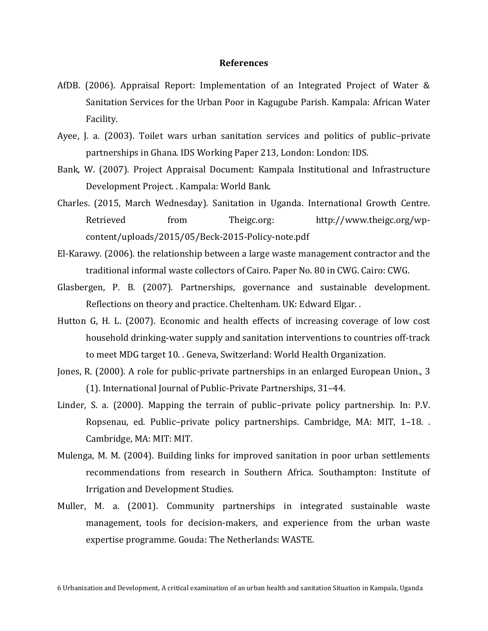#### **References**

- AfDB. (2006). Appraisal Report: Implementation of an Integrated Project of Water & Sanitation Services for the Urban Poor in Kagugube Parish. Kampala: African Water Facility.
- Ayee, J. a. (2003). Toilet wars urban sanitation services and politics of public–private partnerships in Ghana. IDS Working Paper 213, London: London: IDS.
- Bank, W. (2007). Project Appraisal Document: Kampala Institutional and Infrastructure Development Project. . Kampala: World Bank.
- Charles. (2015, March Wednesday). Sanitation in Uganda. International Growth Centre. Retrieved from Theigc.org: http://www.theigc.org/wpcontent/uploads/2015/05/Beck-2015-Policy-note.pdf
- El-Karawy. (2006). the relationship between a large waste management contractor and the traditional informal waste collectors of Cairo. Paper No. 80 in CWG. Cairo: CWG.
- Glasbergen, P. B. (2007). Partnerships, governance and sustainable development. Reflections on theory and practice. Cheltenham. UK: Edward Elgar. .
- Hutton G, H. L. (2007). Economic and health effects of increasing coverage of low cost household drinking-water supply and sanitation interventions to countries off-track to meet MDG target 10. . Geneva, Switzerland: World Health Organization.
- Jones, R. (2000). A role for public-private partnerships in an enlarged European Union., 3 (1). International Journal of Public-Private Partnerships, 31–44.
- Linder, S. a. (2000). Mapping the terrain of public–private policy partnership. In: P.V. Ropsenau, ed. Public–private policy partnerships. Cambridge, MA: MIT, 1–18. . Cambridge, MA: MIT: MIT.
- Mulenga, M. M. (2004). Building links for improved sanitation in poor urban settlements recommendations from research in Southern Africa. Southampton: Institute of Irrigation and Development Studies.
- Muller, M. a. (2001). Community partnerships in integrated sustainable waste management, tools for decision-makers, and experience from the urban waste expertise programme. Gouda: The Netherlands: WASTE.